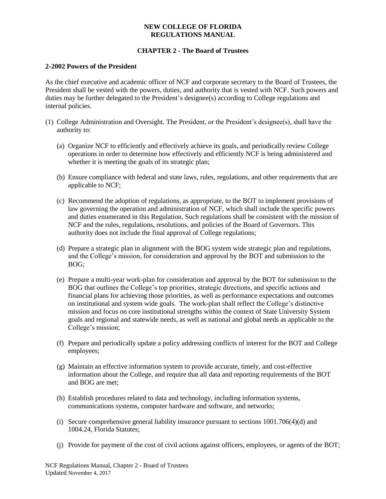# **CHAPTER 2 - The Board of Trustees**

#### **2-2002 Powers of the President**

As the chief executive and academic officer of NCF and corporate secretary to the Board of Trustees, the President shall be vested with the powers, duties, and authority that is vested with NCF. Such powers and duties may be further delegated to the President's designee(s) according to College regulations and internal policies.

- (1) College Administration and Oversight. The President, or the President's designee(s), shall have the authority to:
	- (a) Organize NCF to efficiently and effectively achieve its goals, and periodically review College operations in order to determine how effectively and efficiently NCF is being administered and whether it is meeting the goals of its strategic plan;
	- (b) Ensure compliance with federal and state laws, rules, regulations, and other requirements that are applicable to NCF;
	- (c) Recommend the adoption of regulations, as appropriate, to the BOT to implement provisions of law governing the operation and administration of NCF, which shall include the specific powers and duties enumerated in this Regulation. Such regulations shall be consistent with the mission of NCF and the rules, regulations, resolutions, and policies of the Board of Governors. This authority does not include the final approval of College regulations;
	- (d) Prepare a strategic plan in alignment with the BOG system wide strategic plan and regulations, and the College's mission, for consideration and approval by the BOT and submission to the BOG;
	- (e) Prepare a multi-year work-plan for consideration and approval by the BOT for submission to the BOG that outlines the College's top priorities, strategic directions, and specific actions and financial plans for achieving those priorities, as well as performance expectations and outcomes on institutional and system wide goals. The work-plan shall reflect the College's distinctive mission and focus on core institutional strengths within the context of State University System goals and regional and statewide needs, as well as national and global needs as applicable to the College's mission;
	- (f) Prepare and periodically update a policy addressing conflicts of interest for the BOT and College employees;
	- (g) Maintain an effective information system to provide accurate, timely, and cost-effective information about the College, and require that all data and reporting requirements of the BOT and BOG are met;
	- (h) Establish procedures related to data and technology, including information systems, communications systems, computer hardware and software, and networks;
	- (i) Secure comprehensive general liability insurance pursuant to sections 1001.706(4)(d) and 1004.24, Florida Statutes;
	- (j) Provide for payment of the cost of civil actions against officers, employees, or agents of the BOT;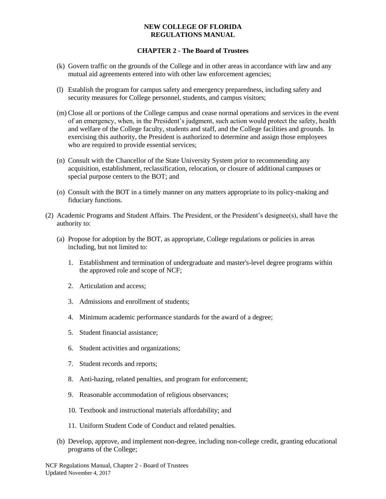- (k) Govern traffic on the grounds of the College and in other areas in accordance with law and any mutual aid agreements entered into with other law enforcement agencies;
- (l) Establish the program for campus safety and emergency preparedness, including safety and security measures for College personnel, students, and campus visitors;
- (m) Close all or portions of the College campus and cease normal operations and services in the event of an emergency, when, in the President's judgment, such action would protect the safety, health and welfare of the College faculty, students and staff, and the College facilities and grounds. In exercising this authority, the President is authorized to determine and assign those employees who are required to provide essential services;
- (n) Consult with the Chancellor of the State University System prior to recommending any acquisition, establishment, reclassification, relocation, or closure of additional campuses or special purpose centers to the BOT; and
- (o) Consult with the BOT in a timely manner on any matters appropriate to its policy-making and fiduciary functions.
- (2) Academic Programs and Student Affairs. The President, or the President's designee(s), shall have the authority to:
	- (a) Propose for adoption by the BOT, as appropriate, College regulations or policies in areas including, but not limited to:
		- 1. Establishment and termination of undergraduate and master's-level degree programs within the approved role and scope of NCF;
		- 2. Articulation and access;
		- 3. Admissions and enrollment of students;
		- 4. Minimum academic performance standards for the award of a degree;
		- 5. Student financial assistance;
		- 6. Student activities and organizations;
		- 7. Student records and reports;
		- 8. Anti-hazing, related penalties, and program for enforcement;
		- 9. Reasonable accommodation of religious observances;
		- 10. Textbook and instructional materials affordability; and
		- 11. Uniform Student Code of Conduct and related penalties.
	- (b) Develop, approve, and implement non-degree, including non-college credit, granting educational programs of the College;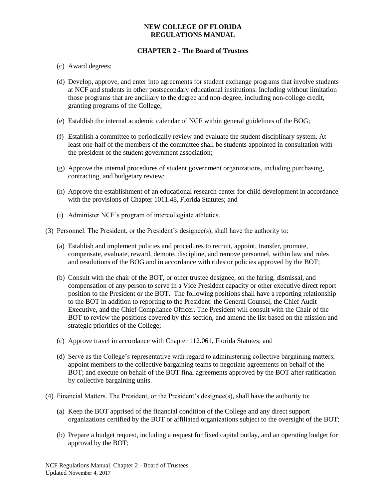- (c) Award degrees;
- (d) Develop, approve, and enter into agreements for student exchange programs that involve students at NCF and students in other postsecondary educational institutions. Including without limitation those programs that are ancillary to the degree and non-degree, including non-college credit, granting programs of the College;
- (e) Establish the internal academic calendar of NCF within general guidelines of the BOG;
- (f) Establish a committee to periodically review and evaluate the student disciplinary system. At least one-half of the members of the committee shall be students appointed in consultation with the president of the student government association;
- (g) Approve the internal procedures of student government organizations, including purchasing, contracting, and budgetary review;
- (h) Approve the establishment of an educational research center for child development in accordance with the provisions of Chapter 1011.48, Florida Statutes; and
- (i) Administer NCF's program of intercollegiate athletics.
- (3) Personnel. The President, or the President's designee(s), shall have the authority to:
	- (a) Establish and implement policies and procedures to recruit, appoint, transfer, promote, compensate, evaluate, reward, demote, discipline, and remove personnel, within law and rules and resolutions of the BOG and in accordance with rules or policies approved by the BOT;
	- (b) Consult with the chair of the BOT, or other trustee designee, on the hiring, dismissal, and compensation of any person to serve in a Vice President capacity or other executive direct report position to the President or the BOT. The following positions shall have a reporting relationship to the BOT in addition to reporting to the President: the General Counsel, the Chief Audit Executive, and the Chief Compliance Officer. The President will consult with the Chair of the BOT to review the positions covered by this section, and amend the list based on the mission and strategic priorities of the College;
	- (c) Approve travel in accordance with Chapter 112.061, Florida Statutes; and
	- (d) Serve as the College's representative with regard to administering collective bargaining matters; appoint members to the collective bargaining teams to negotiate agreements on behalf of the BOT; and execute on behalf of the BOT final agreements approved by the BOT after ratification by collective bargaining units.
- (4) Financial Matters. The President, or the President's designee(s), shall have the authority to:
	- (a) Keep the BOT apprised of the financial condition of the College and any direct support organizations certified by the BOT or affiliated organizations subject to the oversight of the BOT;
	- (b) Prepare a budget request, including a request for fixed capital outlay, and an operating budget for approval by the BOT;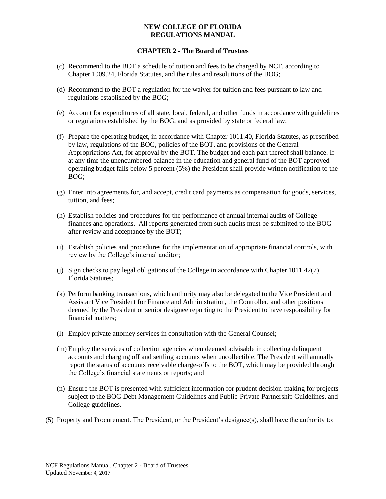- (c) Recommend to the BOT a schedule of tuition and fees to be charged by NCF, according to Chapter 1009.24, Florida Statutes, and the rules and resolutions of the BOG;
- (d) Recommend to the BOT a regulation for the waiver for tuition and fees pursuant to law and regulations established by the BOG;
- (e) Account for expenditures of all state, local, federal, and other funds in accordance with guidelines or regulations established by the BOG, and as provided by state or federal law;
- (f) Prepare the operating budget, in accordance with Chapter 1011.40, Florida Statutes, as prescribed by law, regulations of the BOG, policies of the BOT, and provisions of the General Appropriations Act, for approval by the BOT. The budget and each part thereof shall balance. If at any time the unencumbered balance in the education and general fund of the BOT approved operating budget falls below 5 percent (5%) the President shall provide written notification to the BOG;
- (g) Enter into agreements for, and accept, credit card payments as compensation for goods, services, tuition, and fees;
- (h) Establish policies and procedures for the performance of annual internal audits of College finances and operations. All reports generated from such audits must be submitted to the BOG after review and acceptance by the BOT;
- (i) Establish policies and procedures for the implementation of appropriate financial controls, with review by the College's internal auditor;
- (j) Sign checks to pay legal obligations of the College in accordance with Chapter 1011.42(7), Florida Statutes;
- (k) Perform banking transactions, which authority may also be delegated to the Vice President and Assistant Vice President for Finance and Administration, the Controller, and other positions deemed by the President or senior designee reporting to the President to have responsibility for financial matters;
- (l) Employ private attorney services in consultation with the General Counsel;
- (m) Employ the services of collection agencies when deemed advisable in collecting delinquent accounts and charging off and settling accounts when uncollectible. The President will annually report the status of accounts receivable charge-offs to the BOT, which may be provided through the College's financial statements or reports; and
- (n) Ensure the BOT is presented with sufficient information for prudent decision-making for projects subject to the BOG Debt Management Guidelines and Public-Private Partnership Guidelines, and College guidelines.
- (5) Property and Procurement. The President, or the President's designee(s), shall have the authority to: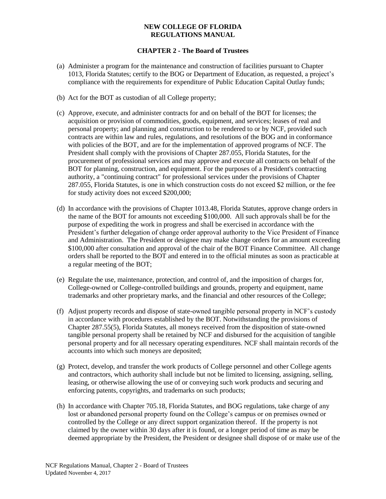- (a) Administer a program for the maintenance and construction of facilities pursuant to Chapter 1013, Florida Statutes; certify to the BOG or Department of Education, as requested, a project's compliance with the requirements for expenditure of Public Education Capital Outlay funds;
- (b) Act for the BOT as custodian of all College property;
- (c) Approve, execute, and administer contracts for and on behalf of the BOT for licenses; the acquisition or provision of commodities, goods, equipment, and services; leases of real and personal property; and planning and construction to be rendered to or by NCF, provided such contracts are within law and rules, regulations, and resolutions of the BOG and in conformance with policies of the BOT, and are for the implementation of approved programs of NCF. The President shall comply with the provisions of Chapter 287.055, Florida Statutes, for the procurement of professional services and may approve and execute all contracts on behalf of the BOT for planning, construction, and equipment. For the purposes of a President's contracting authority, a "continuing contract" for professional services under the provisions of Chapter 287.055, Florida Statutes, is one in which construction costs do not exceed \$2 million, or the fee for study activity does not exceed \$200,000;
- (d) In accordance with the provisions of Chapter 1013.48, Florida Statutes, approve change orders in the name of the BOT for amounts not exceeding \$100,000. All such approvals shall be for the purpose of expediting the work in progress and shall be exercised in accordance with the President's further delegation of change order approval authority to the Vice President of Finance and Administration. The President or designee may make change orders for an amount exceeding \$100,000 after consultation and approval of the chair of the BOT Finance Committee. All change orders shall be reported to the BOT and entered in to the official minutes as soon as practicable at a regular meeting of the BOT;
- (e) Regulate the use, maintenance, protection, and control of, and the imposition of charges for, College-owned or College-controlled buildings and grounds, property and equipment, name trademarks and other proprietary marks, and the financial and other resources of the College;
- (f) Adjust property records and dispose of state-owned tangible personal property in NCF's custody in accordance with procedures established by the BOT. Notwithstanding the provisions of Chapter 287.55(5), Florida Statutes, all moneys received from the disposition of state-owned tangible personal property shall be retained by NCF and disbursed for the acquisition of tangible personal property and for all necessary operating expenditures. NCF shall maintain records of the accounts into which such moneys are deposited;
- (g) Protect, develop, and transfer the work products of College personnel and other College agents and contractors, which authority shall include but not be limited to licensing, assigning, selling, leasing, or otherwise allowing the use of or conveying such work products and securing and enforcing patents, copyrights, and trademarks on such products;
- (h) In accordance with Chapter 705.18, Florida Statutes, and BOG regulations, take charge of any lost or abandoned personal property found on the College's campus or on premises owned or controlled by the College or any direct support organization thereof. If the property is not claimed by the owner within 30 days after it is found, or a longer period of time as may be deemed appropriate by the President, the President or designee shall dispose of or make use of the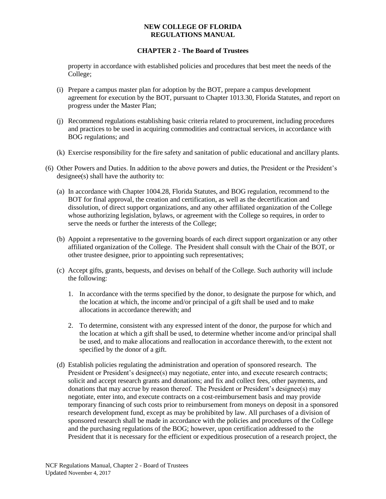# **CHAPTER 2 - The Board of Trustees**

property in accordance with established policies and procedures that best meet the needs of the College;

- (i) Prepare a campus master plan for adoption by the BOT, prepare a campus development agreement for execution by the BOT, pursuant to Chapter 1013.30, Florida Statutes, and report on progress under the Master Plan;
- (j) Recommend regulations establishing basic criteria related to procurement, including procedures and practices to be used in acquiring commodities and contractual services, in accordance with BOG regulations; and
- (k) Exercise responsibility for the fire safety and sanitation of public educational and ancillary plants.
- (6) Other Powers and Duties. In addition to the above powers and duties, the President or the President's designee(s) shall have the authority to:
	- (a) In accordance with Chapter 1004.28, Florida Statutes, and BOG regulation, recommend to the BOT for final approval, the creation and certification, as well as the decertification and dissolution, of direct support organizations, and any other affiliated organization of the College whose authorizing legislation, bylaws, or agreement with the College so requires, in order to serve the needs or further the interests of the College;
	- (b) Appoint a representative to the governing boards of each direct support organization or any other affiliated organization of the College. The President shall consult with the Chair of the BOT, or other trustee designee, prior to appointing such representatives;
	- (c) Accept gifts, grants, bequests, and devises on behalf of the College. Such authority will include the following:
		- 1. In accordance with the terms specified by the donor, to designate the purpose for which, and the location at which, the income and/or principal of a gift shall be used and to make allocations in accordance therewith; and
		- 2. To determine, consistent with any expressed intent of the donor, the purpose for which and the location at which a gift shall be used, to determine whether income and/or principal shall be used, and to make allocations and reallocation in accordance therewith, to the extent not specified by the donor of a gift.
	- (d) Establish policies regulating the administration and operation of sponsored research. The President or President's designee(s) may negotiate, enter into, and execute research contracts; solicit and accept research grants and donations; and fix and collect fees, other payments, and donations that may accrue by reason thereof. The President or President's designee(s) may negotiate, enter into, and execute contracts on a cost-reimbursement basis and may provide temporary financing of such costs prior to reimbursement from moneys on deposit in a sponsored research development fund, except as may be prohibited by law. All purchases of a division of sponsored research shall be made in accordance with the policies and procedures of the College and the purchasing regulations of the BOG; however, upon certification addressed to the President that it is necessary for the efficient or expeditious prosecution of a research project, the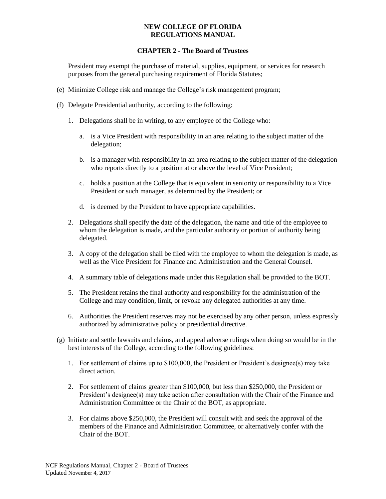# **CHAPTER 2 - The Board of Trustees**

President may exempt the purchase of material, supplies, equipment, or services for research purposes from the general purchasing requirement of Florida Statutes;

- (e) Minimize College risk and manage the College's risk management program;
- (f) Delegate Presidential authority, according to the following:
	- 1. Delegations shall be in writing, to any employee of the College who:
		- a. is a Vice President with responsibility in an area relating to the subject matter of the delegation;
		- b. is a manager with responsibility in an area relating to the subject matter of the delegation who reports directly to a position at or above the level of Vice President;
		- c. holds a position at the College that is equivalent in seniority or responsibility to a Vice President or such manager, as determined by the President; or
		- d. is deemed by the President to have appropriate capabilities.
	- 2. Delegations shall specify the date of the delegation, the name and title of the employee to whom the delegation is made, and the particular authority or portion of authority being delegated.
	- 3. A copy of the delegation shall be filed with the employee to whom the delegation is made, as well as the Vice President for Finance and Administration and the General Counsel.
	- 4. A summary table of delegations made under this Regulation shall be provided to the BOT.
	- 5. The President retains the final authority and responsibility for the administration of the College and may condition, limit, or revoke any delegated authorities at any time.
	- 6. Authorities the President reserves may not be exercised by any other person, unless expressly authorized by administrative policy or presidential directive.
- (g) Initiate and settle lawsuits and claims, and appeal adverse rulings when doing so would be in the best interests of the College, according to the following guidelines:
	- 1. For settlement of claims up to \$100,000, the President or President's designee(s) may take direct action.
	- 2. For settlement of claims greater than \$100,000, but less than \$250,000, the President or President's designee(s) may take action after consultation with the Chair of the Finance and Administration Committee or the Chair of the BOT, as appropriate.
	- 3. For claims above \$250,000, the President will consult with and seek the approval of the members of the Finance and Administration Committee, or alternatively confer with the Chair of the BOT.